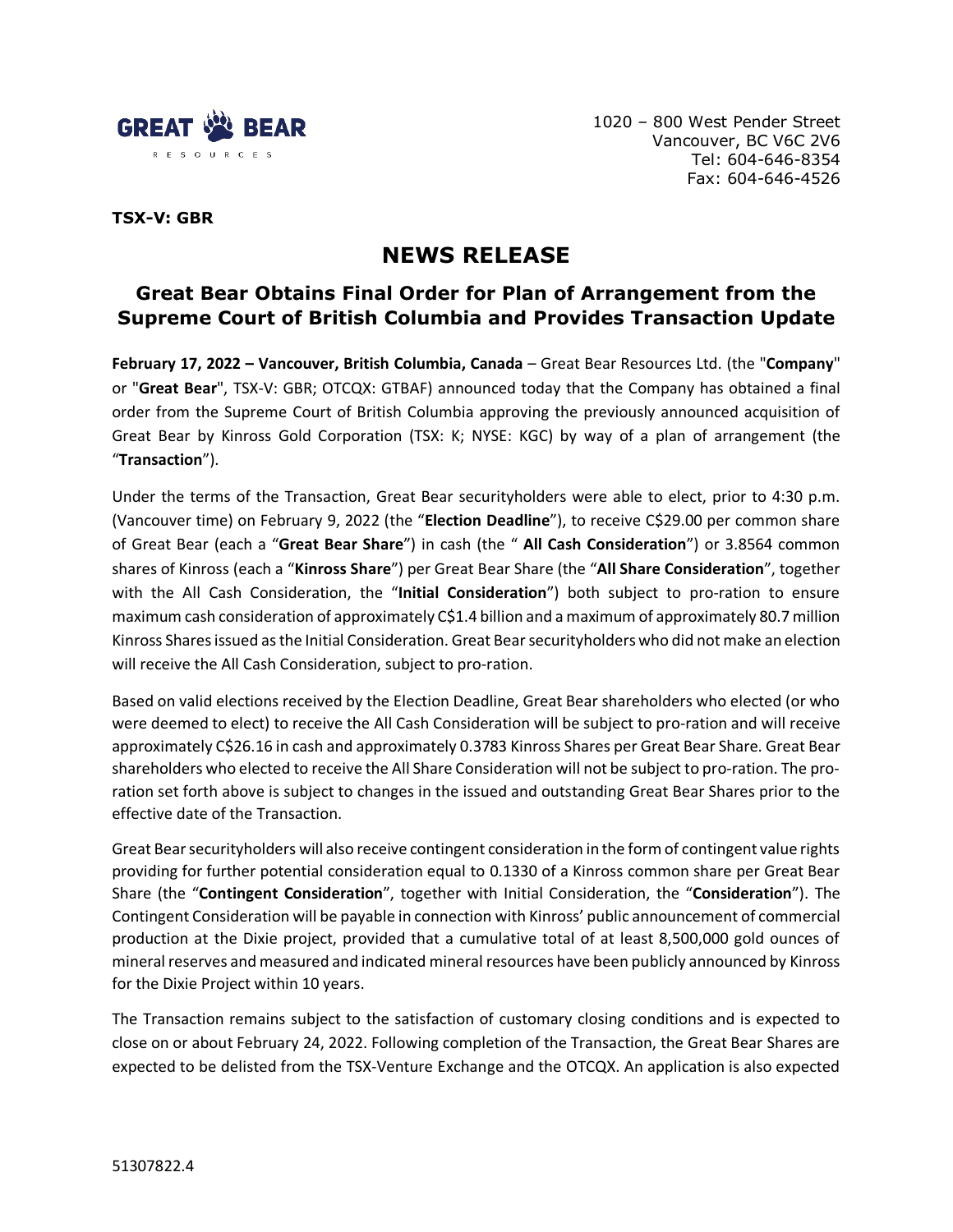

1020 – 800 West Pender Street Vancouver, BC V6C 2V6 Tel: 604-646-8354 Fax: 604-646-4526

**TSX-V: GBR**

# **NEWS RELEASE**

## **Great Bear Obtains Final Order for Plan of Arrangement from the Supreme Court of British Columbia and Provides Transaction Update**

**February 17, 2022 – Vancouver, British Columbia, Canada** – Great Bear Resources Ltd. (the "**Company**" or "**Great Bear**", TSX-V: GBR; OTCQX: GTBAF) announced today that the Company has obtained a final order from the Supreme Court of British Columbia approving the previously announced acquisition of Great Bear by Kinross Gold Corporation (TSX: K; NYSE: KGC) by way of a plan of arrangement (the "**Transaction**").

Under the terms of the Transaction, Great Bear securityholders were able to elect, prior to 4:30 p.m. (Vancouver time) on February 9, 2022 (the "**Election Deadline**"), to receive C\$29.00 per common share of Great Bear (each a "**Great Bear Share**") in cash (the " **All Cash Consideration**") or 3.8564 common shares of Kinross (each a "**Kinross Share**") per Great Bear Share (the "**All Share Consideration**", together with the All Cash Consideration, the "**Initial Consideration**") both subject to pro-ration to ensure maximum cash consideration of approximately C\$1.4 billion and a maximum of approximately 80.7 million Kinross Sharesissued as the Initial Consideration. Great Bear securityholders who did not make an election will receive the All Cash Consideration, subject to pro-ration.

Based on valid elections received by the Election Deadline, Great Bear shareholders who elected (or who were deemed to elect) to receive the All Cash Consideration will be subject to pro-ration and will receive approximately C\$26.16 in cash and approximately 0.3783 Kinross Shares per Great Bear Share. Great Bear shareholders who elected to receive the All Share Consideration will not be subject to pro-ration. The proration set forth above is subject to changes in the issued and outstanding Great Bear Shares prior to the effective date of the Transaction.

Great Bear securityholders will also receive contingent consideration in the form of contingent value rights providing for further potential consideration equal to 0.1330 of a Kinross common share per Great Bear Share (the "**Contingent Consideration**", together with Initial Consideration, the "**Consideration**"). The Contingent Consideration will be payable in connection with Kinross' public announcement of commercial production at the Dixie project, provided that a cumulative total of at least 8,500,000 gold ounces of mineral reserves and measured and indicated mineral resources have been publicly announced by Kinross for the Dixie Project within 10 years.

The Transaction remains subject to the satisfaction of customary closing conditions and is expected to close on or about February 24, 2022. Following completion of the Transaction, the Great Bear Shares are expected to be delisted from the TSX-Venture Exchange and the OTCQX. An application is also expected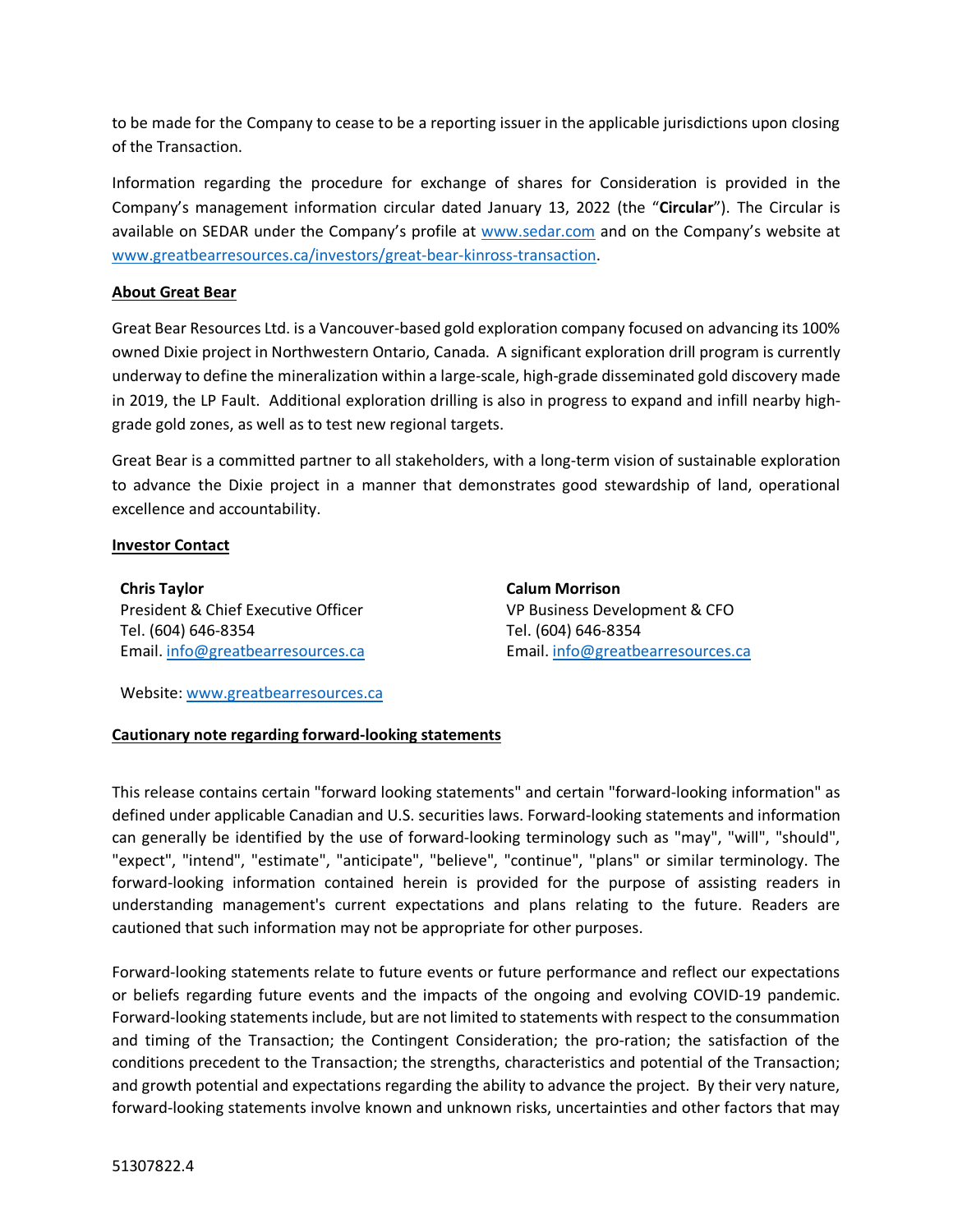to be made for the Company to cease to be a reporting issuer in the applicable jurisdictions upon closing of the Transaction.

Information regarding the procedure for exchange of shares for Consideration is provided in the Company's management information circular dated January 13, 2022 (the "**Circular**"). The Circular is available on SEDAR under the Company's profile at [www.sedar.com](http://www.sedar.com/) and on the Company's website at [www.greatbearresources.ca/investors/great-bear-kinross-transaction.](http://www.greatbearresources.ca/investors/great-bear-kinross-transaction)

#### **About Great Bear**

Great Bear Resources Ltd. is a Vancouver-based gold exploration company focused on advancing its 100% owned Dixie project in Northwestern Ontario, Canada. A significant exploration drill program is currently underway to define the mineralization within a large-scale, high-grade disseminated gold discovery made in 2019, the LP Fault. Additional exploration drilling is also in progress to expand and infill nearby highgrade gold zones, as well as to test new regional targets.

Great Bear is a committed partner to all stakeholders, with a long-term vision of sustainable exploration to advance the Dixie project in a manner that demonstrates good stewardship of land, operational excellence and accountability.

#### **Investor Contact**

**Chris Taylor** President & Chief Executive Officer Tel. (604) 646-8354 Email. [info@greatbearresources.ca](mailto:info@greatbearresources.ca) **Calum Morrison** VP Business Development & CFO Tel. (604) 646-8354 Email. [info@greatbearresources.ca](mailto:info@greatbearresources.ca)

Website: [www.greatbearresources.ca](http://www.greatbearresources.ca/)

### **Cautionary note regarding forward-looking statements**

This release contains certain "forward looking statements" and certain "forward-looking information" as defined under applicable Canadian and U.S. securities laws. Forward-looking statements and information can generally be identified by the use of forward-looking terminology such as "may", "will", "should", "expect", "intend", "estimate", "anticipate", "believe", "continue", "plans" or similar terminology. The forward-looking information contained herein is provided for the purpose of assisting readers in understanding management's current expectations and plans relating to the future. Readers are cautioned that such information may not be appropriate for other purposes.

Forward-looking statements relate to future events or future performance and reflect our expectations or beliefs regarding future events and the impacts of the ongoing and evolving COVID-19 pandemic. Forward-looking statements include, but are not limited to statements with respect to the consummation and timing of the Transaction; the Contingent Consideration; the pro-ration; the satisfaction of the conditions precedent to the Transaction; the strengths, characteristics and potential of the Transaction; and growth potential and expectations regarding the ability to advance the project. By their very nature, forward-looking statements involve known and unknown risks, uncertainties and other factors that may